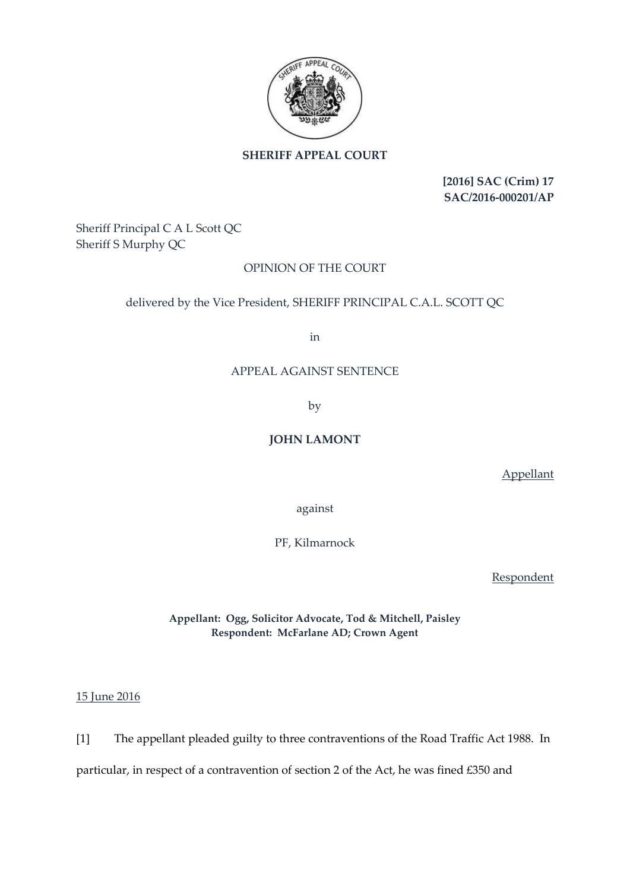

# **SHERIFF APPEAL COURT**

**[2016] SAC (Crim) 17 SAC/2016-000201/AP**

Sheriff Principal C A L Scott QC Sheriff S Murphy QC

## OPINION OF THE COURT

#### delivered by the Vice President, SHERIFF PRINCIPAL C.A.L. SCOTT QC

in

#### APPEAL AGAINST SENTENCE

by

### **JOHN LAMONT**

Appellant

against

PF, Kilmarnock

**Respondent** 

**Appellant: Ogg, Solicitor Advocate, Tod & Mitchell, Paisley Respondent: McFarlane AD; Crown Agent**

15 June 2016

[1] The appellant pleaded guilty to three contraventions of the Road Traffic Act 1988. In

particular, in respect of a contravention of section 2 of the Act, he was fined £350 and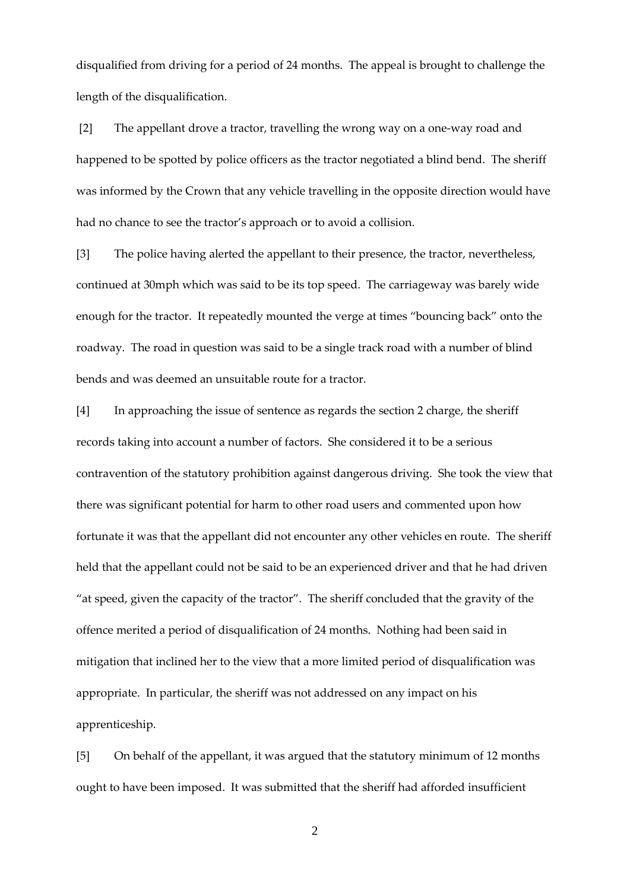disqualified from driving for a period of 24 months. The appeal is brought to challenge the length of the disqualification.

[2] The appellant drove a tractor, travelling the wrong way on a one-way road and happened to be spotted by police officers as the tractor negotiated a blind bend. The sheriff was informed by the Crown that any vehicle travelling in the opposite direction would have had no chance to see the tractor's approach or to avoid a collision.

[3] The police having alerted the appellant to their presence, the tractor, nevertheless, continued at 30mph which was said to be its top speed. The carriageway was barely wide enough for the tractor. It repeatedly mounted the verge at times "bouncing back" onto the roadway. The road in question was said to be a single track road with a number of blind bends and was deemed an unsuitable route for a tractor.

[4] In approaching the issue of sentence as regards the section 2 charge, the sheriff records taking into account a number of factors. She considered it to be a serious contravention of the statutory prohibition against dangerous driving. She took the view that there was significant potential for harm to other road users and commented upon how fortunate it was that the appellant did not encounter any other vehicles en route. The sheriff held that the appellant could not be said to be an experienced driver and that he had driven "at speed, given the capacity of the tractor". The sheriff concluded that the gravity of the offence merited a period of disqualification of 24 months. Nothing had been said in mitigation that inclined her to the view that a more limited period of disqualification was appropriate. In particular, the sheriff was not addressed on any impact on his apprenticeship.

[5] On behalf of the appellant, it was argued that the statutory minimum of 12 months ought to have been imposed. It was submitted that the sheriff had afforded insufficient

2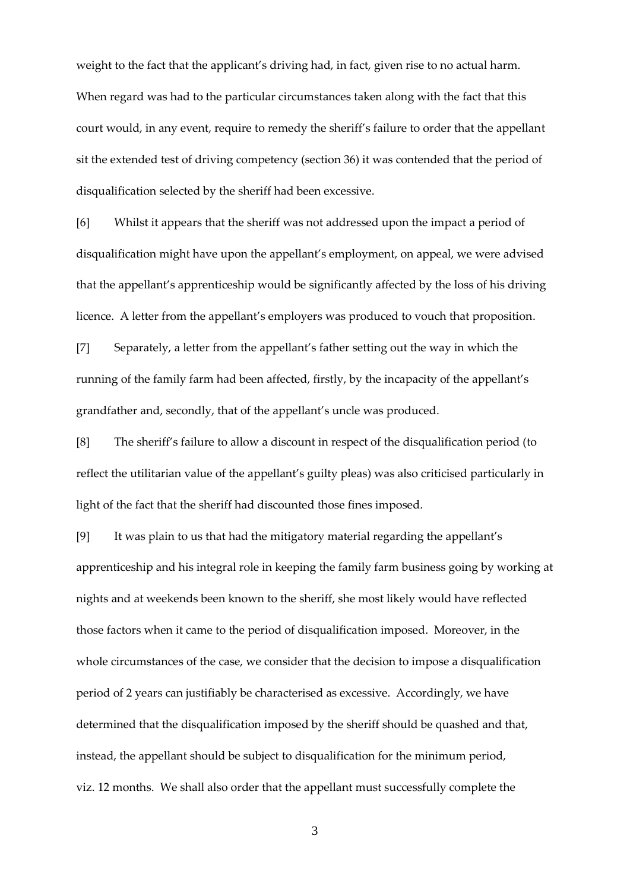weight to the fact that the applicant's driving had, in fact, given rise to no actual harm. When regard was had to the particular circumstances taken along with the fact that this court would, in any event, require to remedy the sheriff's failure to order that the appellant sit the extended test of driving competency (section 36) it was contended that the period of disqualification selected by the sheriff had been excessive.

[6] Whilst it appears that the sheriff was not addressed upon the impact a period of disqualification might have upon the appellant's employment, on appeal, we were advised that the appellant's apprenticeship would be significantly affected by the loss of his driving licence. A letter from the appellant's employers was produced to vouch that proposition.

[7] Separately, a letter from the appellant's father setting out the way in which the running of the family farm had been affected, firstly, by the incapacity of the appellant's grandfather and, secondly, that of the appellant's uncle was produced.

[8] The sheriff's failure to allow a discount in respect of the disqualification period (to reflect the utilitarian value of the appellant's guilty pleas) was also criticised particularly in light of the fact that the sheriff had discounted those fines imposed.

[9] It was plain to us that had the mitigatory material regarding the appellant's apprenticeship and his integral role in keeping the family farm business going by working at nights and at weekends been known to the sheriff, she most likely would have reflected those factors when it came to the period of disqualification imposed. Moreover, in the whole circumstances of the case, we consider that the decision to impose a disqualification period of 2 years can justifiably be characterised as excessive. Accordingly, we have determined that the disqualification imposed by the sheriff should be quashed and that, instead, the appellant should be subject to disqualification for the minimum period, viz. 12 months. We shall also order that the appellant must successfully complete the

3